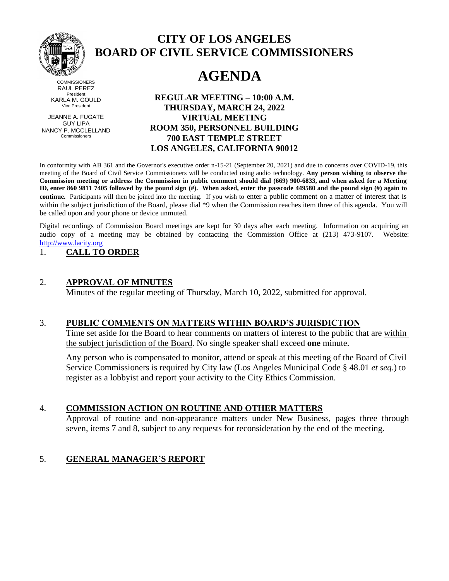

**CITY OF LOS ANGELES BOARD OF CIVIL SERVICE COMMISSIONERS**

# **AGENDA**

**COMMISSIONERS** RAUL PEREZ President KARLA M. GOULD Vice President

JEANNE A. FUGATE GUY LIPA NANCY P. MCCLELLAND Commissioners

**REGULAR MEETING – 10:00 A.M. THURSDAY, MARCH 24, 2022 VIRTUAL MEETING ROOM 350, PERSONNEL BUILDING 700 EAST TEMPLE STREET LOS ANGELES, CALIFORNIA 90012**

In conformity with AB 361 and the Governor's executive order n-15-21 (September 20, 2021) and due to concerns over COVID-19, this meeting of the Board of Civil Service Commissioners will be conducted using audio technology. **Any person wishing to observe the Commission meeting or address the Commission in public comment should dial (669) 900-6833, and when asked for a Meeting ID, enter 860 9811 7405 followed by the pound sign (#). When asked, enter the passcode 449580 and the pound sign (#) again to continue.** Participants will then be joined into the meeting. If you wish to enter a public comment on a matter of interest that is within the subject jurisdiction of the Board, please dial \*9 when the Commission reaches item three of this agenda. You will be called upon and your phone or device unmuted.

Digital recordings of Commission Board meetings are kept for 30 days after each meeting. Information on acquiring an audio copy of a meeting may be obtained by contacting the Commission Office at (213) 473-9107. Website: [http://www.lacity.org](http://www.lacity.org/)

## 1. **CALL TO ORDER**

## 2. **APPROVAL OF MINUTES**

Minutes of the regular meeting of Thursday, March 10, 2022, submitted for approval.

## 3. **PUBLIC COMMENTS ON MATTERS WITHIN BOARD'S JURISDICTION**

Time set aside for the Board to hear comments on matters of interest to the public that are within the subject jurisdiction of the Board. No single speaker shall exceed **one** minute.

Any person who is compensated to monitor, attend or speak at this meeting of the Board of Civil Service Commissioners is required by City law (Los Angeles Municipal Code § 48.01 *et seq*.) to register as a lobbyist and report your activity to the City Ethics Commission.

## 4. **COMMISSION ACTION ON ROUTINE AND OTHER MATTERS**

Approval of routine and non-appearance matters under New Business, pages three through seven, items 7 and 8, subject to any requests for reconsideration by the end of the meeting.

## 5. **GENERAL MANAGER'S REPORT**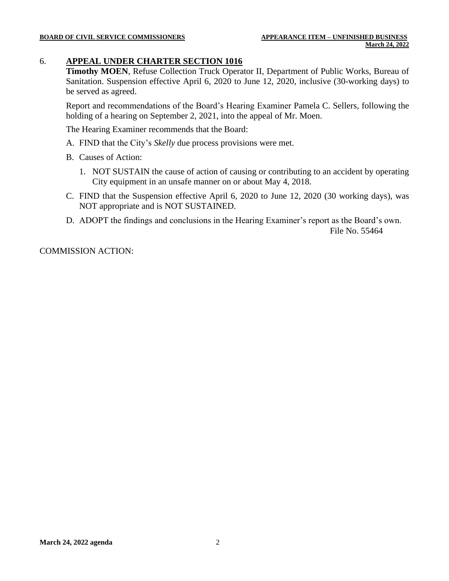## 6. **APPEAL UNDER CHARTER SECTION 1016**

**Timothy MOEN**, Refuse Collection Truck Operator II, Department of Public Works, Bureau of Sanitation. Suspension effective April 6, 2020 to June 12, 2020, inclusive (30-working days) to be served as agreed.

Report and recommendations of the Board's Hearing Examiner Pamela C. Sellers, following the holding of a hearing on September 2, 2021, into the appeal of Mr. Moen.

The Hearing Examiner recommends that the Board:

- A. FIND that the City's *Skelly* due process provisions were met.
- B. Causes of Action:
	- 1. NOT SUSTAIN the cause of action of causing or contributing to an accident by operating City equipment in an unsafe manner on or about May 4, 2018.
- C. FIND that the Suspension effective April 6, 2020 to June 12, 2020 (30 working days), was NOT appropriate and is NOT SUSTAINED.
- D. ADOPT the findings and conclusions in the Hearing Examiner's report as the Board's own. File No. 55464

COMMISSION ACTION: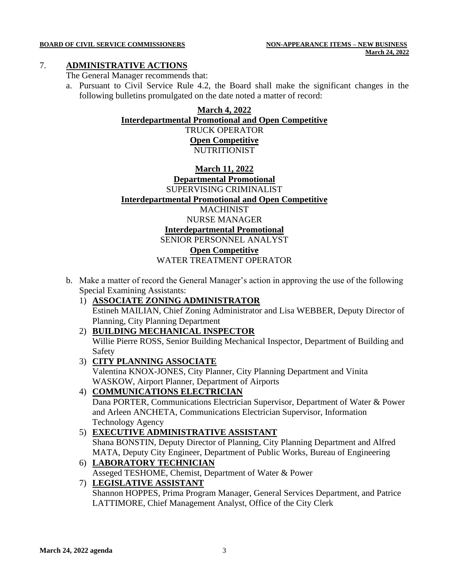### **BOARD OF CIVIL SERVICE COMMISSIONERS NON-APPEARANCE ITEMS – NEW BUSINESS**

### 7. **ADMINISTRATIVE ACTIONS**

The General Manager recommends that:

a. Pursuant to Civil Service Rule 4.2, the Board shall make the significant changes in the following bulletins promulgated on the date noted a matter of record:

## **March 4, 2022**

## **Interdepartmental Promotional and Open Competitive**

TRUCK OPERATOR **Open Competitive** NUTRITIONIST

## **March 11, 2022 Departmental Promotional** SUPERVISING CRIMINALIST **Interdepartmental Promotional and Open Competitive** MACHINIST

NURSE MANAGER

**Interdepartmental Promotional**

## SENIOR PERSONNEL ANALYST

## **Open Competitive**

WATER TREATMENT OPERATOR

- b. Make a matter of record the General Manager's action in approving the use of the following Special Examining Assistants:
	- 1) **ASSOCIATE ZONING ADMINISTRATOR** Estineh MAILIAN, Chief Zoning Administrator and Lisa WEBBER, Deputy Director of Planning, City Planning Department
	- 2) **BUILDING MECHANICAL INSPECTOR** Willie Pierre ROSS, Senior Building Mechanical Inspector, Department of Building and Safety

## 3) **CITY PLANNING ASSOCIATE**

Valentina KNOX-JONES, City Planner, City Planning Department and Vinita WASKOW, Airport Planner, Department of Airports

## 4) **COMMUNICATIONS ELECTRICIAN**

Dana PORTER, Communications Electrician Supervisor, Department of Water & Power and Arleen ANCHETA, Communications Electrician Supervisor, Information Technology Agency

5) **EXECUTIVE ADMINISTRATIVE ASSISTANT** Shana BONSTIN, Deputy Director of Planning, City Planning Department and Alfred MATA, Deputy City Engineer, Department of Public Works, Bureau of Engineering

## 6) **LABORATORY TECHNICIAN**

Asseged TESHOME, Chemist, Department of Water & Power

## 7) **LEGISLATIVE ASSISTANT**

Shannon HOPPES, Prima Program Manager, General Services Department, and Patrice LATTIMORE, Chief Management Analyst, Office of the City Clerk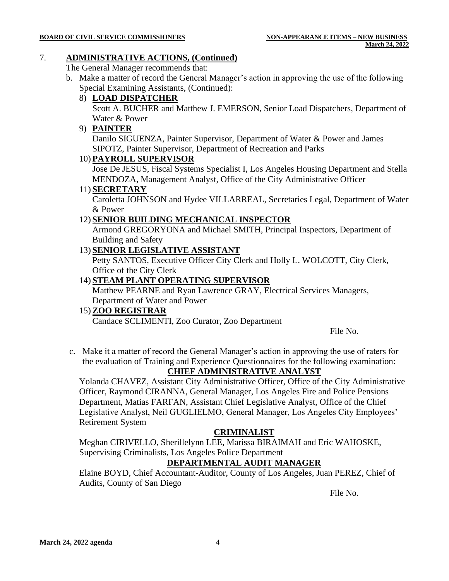## 7. **ADMINISTRATIVE ACTIONS, (Continued)**

The General Manager recommends that:

b. Make a matter of record the General Manager's action in approving the use of the following Special Examining Assistants, (Continued):

## 8) **LOAD DISPATCHER**

Scott A. BUCHER and Matthew J. EMERSON, Senior Load Dispatchers, Department of Water & Power

## 9) **PAINTER**

Danilo SIGUENZA, Painter Supervisor, Department of Water & Power and James SIPOTZ, Painter Supervisor, Department of Recreation and Parks

## 10) **PAYROLL SUPERVISOR**

Jose De JESUS, Fiscal Systems Specialist I, Los Angeles Housing Department and Stella MENDOZA, Management Analyst, Office of the City Administrative Officer

### 11) **SECRETARY**

Caroletta JOHNSON and Hydee VILLARREAL, Secretaries Legal, Department of Water & Power

## 12) **SENIOR BUILDING MECHANICAL INSPECTOR**

Armond GREGORYONA and Michael SMITH, Principal Inspectors, Department of Building and Safety

## 13) **SENIOR LEGISLATIVE ASSISTANT**

Petty SANTOS, Executive Officer City Clerk and Holly L. WOLCOTT, City Clerk, Office of the City Clerk

## 14) **STEAM PLANT OPERATING SUPERVISOR**

Matthew PEARNE and Ryan Lawrence GRAY, Electrical Services Managers, Department of Water and Power

## 15) **ZOO REGISTRAR** Candace SCLIMENTI, Zoo Curator, Zoo Department

File No.

c. Make it a matter of record the General Manager's action in approving the use of raters for the evaluation of Training and Experience Questionnaires for the following examination:

## **CHIEF ADMINISTRATIVE ANALYST**

Yolanda CHAVEZ, Assistant City Administrative Officer, Office of the City Administrative Officer, Raymond CIRANNA, General Manager, Los Angeles Fire and Police Pensions Department, Matias FARFAN, Assistant Chief Legislative Analyst, Office of the Chief Legislative Analyst, Neil GUGLIELMO, General Manager, Los Angeles City Employees' Retirement System

## **CRIMINALIST**

Meghan CIRIVELLO, Sherillelynn LEE, Marissa BIRAIMAH and Eric WAHOSKE, Supervising Criminalists, Los Angeles Police Department

## **DEPARTMENTAL AUDIT MANAGER**

Elaine BOYD, Chief Accountant-Auditor, County of Los Angeles, Juan PEREZ, Chief of Audits, County of San Diego

File No.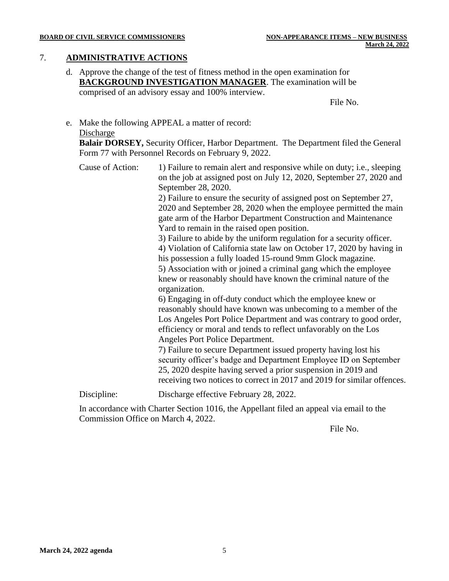## 7. **ADMINISTRATIVE ACTIONS**

d. Approve the change of the test of fitness method in the open examination for **BACKGROUND INVESTIGATION MANAGER**. The examination will be comprised of an advisory essay and 100% interview.

File No.

## e. Make the following APPEAL a matter of record: Discharge

**Balair DORSEY,** Security Officer, Harbor Department. The Department filed the General Form 77 with Personnel Records on February 9, 2022.

Cause of Action: 1) Failure to remain alert and responsive while on duty; i.e., sleeping on the job at assigned post on July 12, 2020, September 27, 2020 and September 28, 2020.

> 2) Failure to ensure the security of assigned post on September 27, 2020 and September 28, 2020 when the employee permitted the main gate arm of the Harbor Department Construction and Maintenance Yard to remain in the raised open position.

> 3) Failure to abide by the uniform regulation for a security officer. 4) Violation of California state law on October 17, 2020 by having in his possession a fully loaded 15-round 9mm Glock magazine. 5) Association with or joined a criminal gang which the employee knew or reasonably should have known the criminal nature of the

organization.

6) Engaging in off-duty conduct which the employee knew or reasonably should have known was unbecoming to a member of the Los Angeles Port Police Department and was contrary to good order, efficiency or moral and tends to reflect unfavorably on the Los Angeles Port Police Department.

7) Failure to secure Department issued property having lost his security officer's badge and Department Employee ID on September 25, 2020 despite having served a prior suspension in 2019 and receiving two notices to correct in 2017 and 2019 for similar offences.

Discipline: Discharge effective February 28, 2022.

In accordance with Charter Section 1016, the Appellant filed an appeal via email to the Commission Office on March 4, 2022.

File No.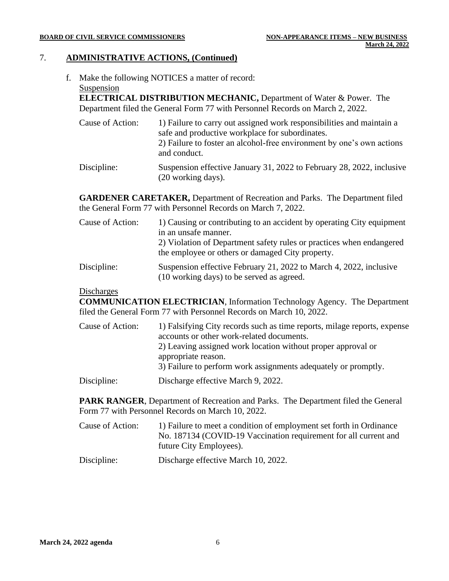## 7. **ADMINISTRATIVE ACTIONS, (Continued)**

f. Make the following NOTICES a matter of record: Suspension

**ELECTRICAL DISTRIBUTION MECHANIC,** Department of Water & Power. The Department filed the General Form 77 with Personnel Records on March 2, 2022.

- Cause of Action: 1) Failure to carry out assigned work responsibilities and maintain a safe and productive workplace for subordinates. 2) Failure to foster an alcohol-free environment by one's own actions and conduct. Discipline: Suspension effective January 31, 2022 to February 28, 2022, inclusive
- (20 working days).

**GARDENER CARETAKER,** Department of Recreation and Parks. The Department filed the General Form 77 with Personnel Records on March 7, 2022.

| Cause of Action: | 1) Causing or contributing to an accident by operating City equipment<br>in an unsafe manner.<br>2) Violation of Department safety rules or practices when endangered<br>the employee or others or damaged City property. |
|------------------|---------------------------------------------------------------------------------------------------------------------------------------------------------------------------------------------------------------------------|
| Discipline:      | Suspension effective February 21, 2022 to March 4, 2022, inclusive<br>(10 working days) to be served as agreed.                                                                                                           |

## **Discharges**

**COMMUNICATION ELECTRICIAN**, Information Technology Agency. The Department filed the General Form 77 with Personnel Records on March 10, 2022.

| Cause of Action: | 1) Falsifying City records such as time reports, milage reports, expense<br>accounts or other work-related documents.<br>2) Leaving assigned work location without proper approval or<br>appropriate reason.<br>3) Failure to perform work assignments adequately or promptly. |
|------------------|--------------------------------------------------------------------------------------------------------------------------------------------------------------------------------------------------------------------------------------------------------------------------------|
| Discipline:      | Discharge effective March 9, 2022.                                                                                                                                                                                                                                             |

**PARK RANGER**, Department of Recreation and Parks. The Department filed the General Form 77 with Personnel Records on March 10, 2022.

Cause of Action: 1) Failure to meet a condition of employment set forth in Ordinance No. 187134 (COVID-19 Vaccination requirement for all current and future City Employees).

Discipline: Discharge effective March 10, 2022.